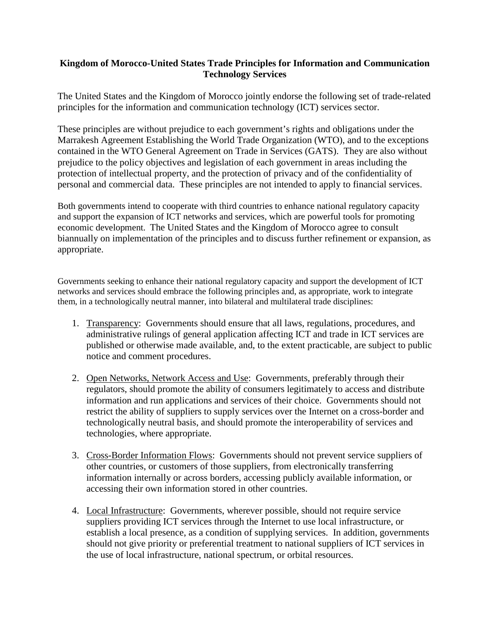## **Kingdom of Morocco-United States Trade Principles for Information and Communication Technology Services**

The United States and the Kingdom of Morocco jointly endorse the following set of trade-related principles for the information and communication technology (ICT) services sector.

These principles are without prejudice to each government's rights and obligations under the Marrakesh Agreement Establishing the World Trade Organization (WTO), and to the exceptions contained in the WTO General Agreement on Trade in Services (GATS). They are also without prejudice to the policy objectives and legislation of each government in areas including the protection of intellectual property, and the protection of privacy and of the confidentiality of personal and commercial data. These principles are not intended to apply to financial services.

Both governments intend to cooperate with third countries to enhance national regulatory capacity and support the expansion of ICT networks and services, which are powerful tools for promoting economic development. The United States and the Kingdom of Morocco agree to consult biannually on implementation of the principles and to discuss further refinement or expansion, as appropriate.

Governments seeking to enhance their national regulatory capacity and support the development of ICT networks and services should embrace the following principles and, as appropriate, work to integrate them, in a technologically neutral manner, into bilateral and multilateral trade disciplines:

- 1. Transparency: Governments should ensure that all laws, regulations, procedures, and administrative rulings of general application affecting ICT and trade in ICT services are published or otherwise made available, and, to the extent practicable, are subject to public notice and comment procedures.
- 2. Open Networks, Network Access and Use: Governments, preferably through their regulators, should promote the ability of consumers legitimately to access and distribute information and run applications and services of their choice. Governments should not restrict the ability of suppliers to supply services over the Internet on a cross-border and technologically neutral basis, and should promote the interoperability of services and technologies, where appropriate.
- 3. Cross-Border Information Flows: Governments should not prevent service suppliers of other countries, or customers of those suppliers, from electronically transferring information internally or across borders, accessing publicly available information, or accessing their own information stored in other countries.
- 4. Local Infrastructure: Governments, wherever possible, should not require service suppliers providing ICT services through the Internet to use local infrastructure, or establish a local presence, as a condition of supplying services. In addition, governments should not give priority or preferential treatment to national suppliers of ICT services in the use of local infrastructure, national spectrum, or orbital resources.